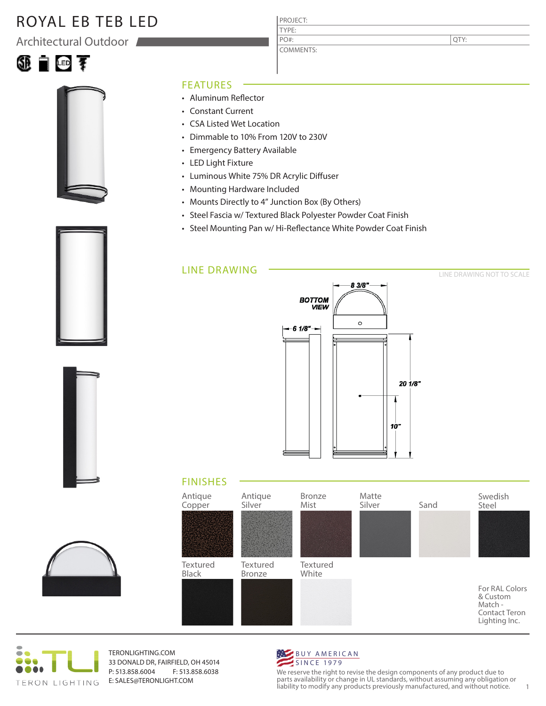# ROYAL EB TEB LED

Architectural Outdoor





#### FEATURES

- Aluminum Reflector
- Constant Current
- CSA Listed Wet Location
- Dimmable to 10% From 120V to 230V
- Emergency Battery Available
- LED Light Fixture
- Luminous White 75% DR Acrylic Diffuser
- Mounting Hardware Included
- Mounts Directly to 4" Junction Box (By Others)
- Steel Fascia w/ Textured Black Polyester Powder Coat Finish

PROJECT: TYPE:

PO#:

COMMENTS:

• Steel Mounting Pan w/ Hi-Reflectance White Powder Coat Finish

#### LINE DRAWING



LINE DRAWING NOT TO SCALE

QTY:









TERONLIGHTING.COM 33 DONALD DR, FAIRFIELD, OH 45014 P: 513.858.6004 F: 513.858.6038 E: SALES@TERONLIGHT.COM



We reserve the right to revise the design components of any product due to parts availability or change in UL standards, without assuming any obligation or liability to modify any products previously manufactured, and without notice. 1